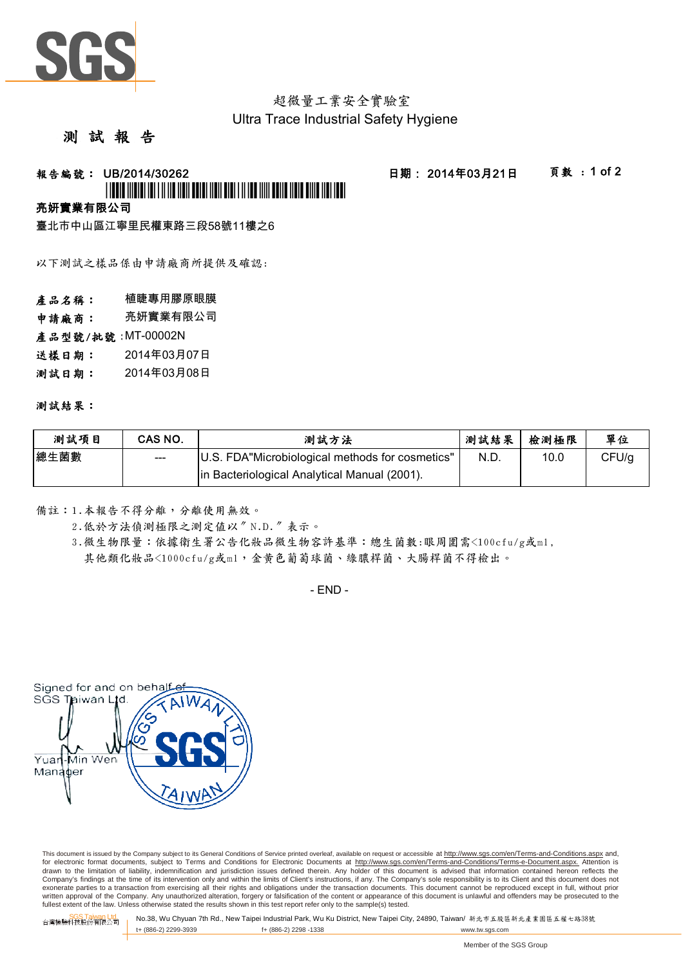

## 超微量工業安全實驗室 Ultra Trace Industrial Safety Hygiene

### 測 試 報 告

# 報告編號: U B /20 1 4/30 262 日期: 20 1 4年0 3月21 日 頁數 : 1 of2 \*UBOT MORE IO I II II ADI TOTA DA RI DO LA 11 ID ANI D

# 亮妍實業有限公司

臺北市中山區江寧里民權東路三段58號1 1 樓之6

以下測試之樣品係由申請廠商所提供及確認:

產品名稱: 植睫專用膠原眼膜

申請廠商: 亮妍實業有限公司

產品型號/批號: MT-00002N

- 送樣日期: 2014年03月07日
- 測試日期: 2014年03月08日

#### 測試結果:

| 测試項目 | CAS NO. | 測試方法                                            | 測試結果 | 檢測極限 | 單位    |
|------|---------|-------------------------------------------------|------|------|-------|
| 總生菌數 | $- - -$ | U.S. FDA"Microbiological methods for cosmetics" | N.D. | 10.0 | CFU/g |
|      |         | In Bacteriological Analytical Manual (2001).    |      |      |       |

備註:1.本報告不得分離,分離使用無效。

2.低於方法偵測極限之測定值以〞N.D.〞表示。

3.微生物限量:依據衛生署公告化妝品微生物容許基準:總生菌數:眼周圍需<100cfu/g或ml, 其他類化妝品<1000cfu/g或ml,金黃色葡萄球菌、綠膿桿菌、大腸桿菌不得檢出。

 $-$  FND  $-$ 



This document is issued by the Company subject to its General Conditions of Service printed overleaf, available on request or accessible at http://www.sgs.com/en/Terms-and-Conditions.aspx and, for electronic format documents, subject to Terms and Conditions for Electronic Documents at http://www.sgs.com/en/Terms-and-Conditions/Terms-e-Document.aspx. Attention is drawn to the limitation of liability, indemnification and jurisdiction issues defined therein. Any holder of this document is advised that information contained hereon reflects the<br>Company's findings at the time of its int exonerate parties to a transaction from exercising all their rights and obligations under the transaction documents. This document cannot be reproduced except in full, without prior written approval of the Company. Any unauthorized alteration, forgery or falsification of the content or appearance of this document is unlawful and offenders may be prosecuted to the<br>fullest extent of the law. Unless othe

SGS Taiwan Ltd. 台灣檢驗科技股份有限公司 No.38, Wu Chyuan 7th Rd., New Taipei Industrial Park, Wu Ku District, New Taipei City, 24890, Taiwan/ 新北市五股區新北產業園區五權七路38號 t+ (886-2) 2299-3939 f+ (886-2) 2298 -1338